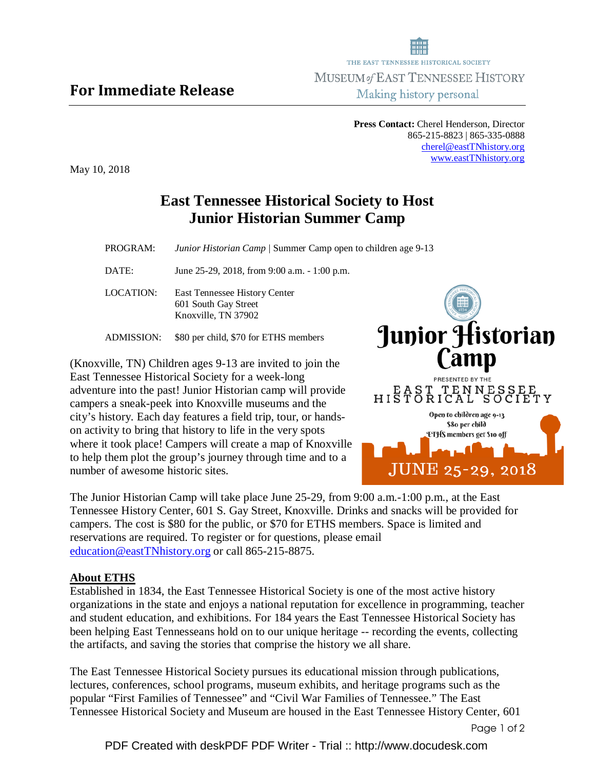## For Immediate Release

May 10, 2018

## **East Tennessee Historical Society to Host Junior Historian Summer Camp**

PROGRAM:*Junior Historian Camp |* Summer Camp open to children age 9-13

DATE: June 25-29, 2018, from 9:00 a.m. - 1:00 p.m.

LOCATION: East Tennessee History Center 601 South Gay Street Knoxville, TN 37902

ADMISSION: \$80 per child, \$70 for ETHS members

(Knoxville, TN) Children ages 9-13 are invited to join the East Tennessee Historical Society for a week-long adventure into the past! Junior Historian camp will provide campers a sneak-peek into Knoxville museums and the city's history. Each day features a field trip, tour, or handson activity to bring that history to life in the very spots where it took place! Campers will create a map of Knoxville to help them plot the group's journey through time and to a number of awesome historic sites.

The Junior Historian Camp will take place June 25-29, from 9:00 a.m.-1:00 p.m., at the East Tennessee History Center, 601 S. Gay Street, Knoxville. Drinks and snacks will be provided for campers. The cost is \$80 for the public, or \$70 for ETHS members. Space is limited and reservations are required. To register or for questions, please email education@eastTNhistory.org or call 865-215-8875.

## **About ETHS**

Established in 1834, the East Tennessee Historical Society is one of the most active history organizations in the state and enjoys a national reputation for excellence in programming, teacher and student education, and exhibitions. For 184 years the East Tennessee Historical Society has been helping East Tennesseans hold on to our unique heritage -- recording the events, collecting the artifacts, and saving the stories that comprise the history we all share.

The East Tennessee Historical Society pursues its educational mission through publications, lectures, conferences, school programs, museum exhibits, and heritage programs such as the popular "First Families of Tennessee" and "Civil War Families of Tennessee." The East Tennessee Historical Society and Museum are housed in the East Tennessee History Center, 601



**Press Contact:** Cherel Henderson, Director 865-215-8823 | 865-335-0888 cherel@eastTNhistory.org www.eastTNhistory.org

Page 1 of 2